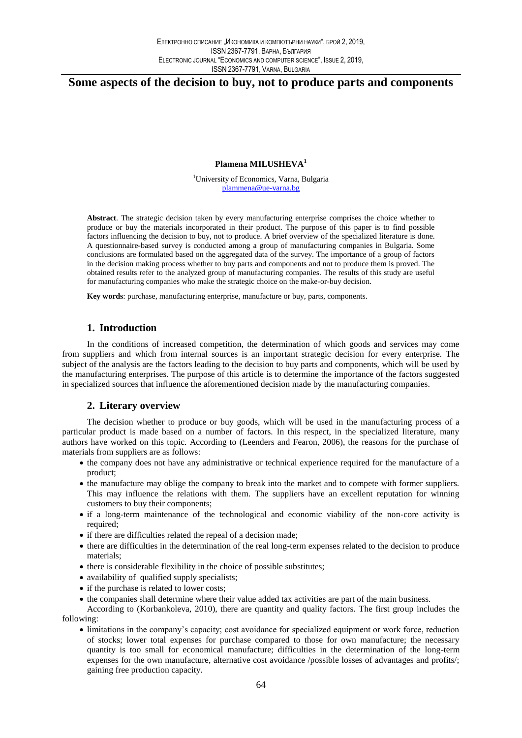# **Some aspects of the decision to buy, not to produce parts and components**

#### **Plamena MILUSHEVA<sup>1</sup>**

<sup>1</sup>University of Economics, Varna, Bulgaria plammena@ue-varna.bg

**Abstract**. The strategic decision taken by every manufacturing enterprise comprises the choice whether to produce or buy the materials incorporated in their product. The purpose of this paper is to find possible factors influencing the decision to buy, not to produce. A brief overview of the specialized literature is done. A questionnaire-based survey is conducted among a group of manufacturing companies in Bulgaria. Some conclusions are formulated based on the aggregated data of the survey. The importance of a group of factors in the decision making process whether to buy parts and components and not to produce them is proved. The obtained results refer to the analyzed group of manufacturing companies. The results of this study are useful for manufacturing companies who make the strategic choice on the make-or-buy decision.

**Key words**: purchase, manufacturing enterprise, manufacture or buy, parts, components.

# **1. Introduction**

In the conditions of increased competition, the determination of which goods and services may come from suppliers and which from internal sources is an important strategic decision for every enterprise. The subject of the analysis are the factors leading to the decision to buy parts and components, which will be used by the manufacturing enterprises. The purpose of this article is to determine the importance of the factors suggested in specialized sources that influence the aforementioned decision made by the manufacturing companies.

### **2. Literary overview**

The decision whether to produce or buy goods, which will be used in the manufacturing process of a particular product is made based on a number of factors. In this respect, in the specialized literature, many authors have worked on this topic. According to (Leenders and Fearon, 2006), the reasons for the purchase of materials from suppliers are as follows:

- the company does not have any administrative or technical experience required for the manufacture of a product;
- the manufacture may oblige the company to break into the market and to compete with former suppliers. This may influence the relations with them. The suppliers have an excellent reputation for winning customers to buy their components;
- if a long-term maintenance of the technological and economic viability of the non-core activity is required;
- if there are difficulties related the repeal of a decision made;
- there are difficulties in the determination of the real long-term expenses related to the decision to produce materials;
- there is considerable flexibility in the choice of possible substitutes;
- availability of qualified supply specialists;
- if the purchase is related to lower costs;
- the companies shall determine where their value added tax activities are part of the main business.

According to (Korbankoleva, 2010), there are quantity and quality factors. The first group includes the following:

 limitations in the company's capacity; cost avoidance for specialized equipment or work force, reduction of stocks; lower total expenses for purchase compared to those for own manufacture; the necessary quantity is too small for economical manufacture; difficulties in the determination of the long-term expenses for the own manufacture, alternative cost avoidance /possible losses of advantages and profits/; gaining free production capacity.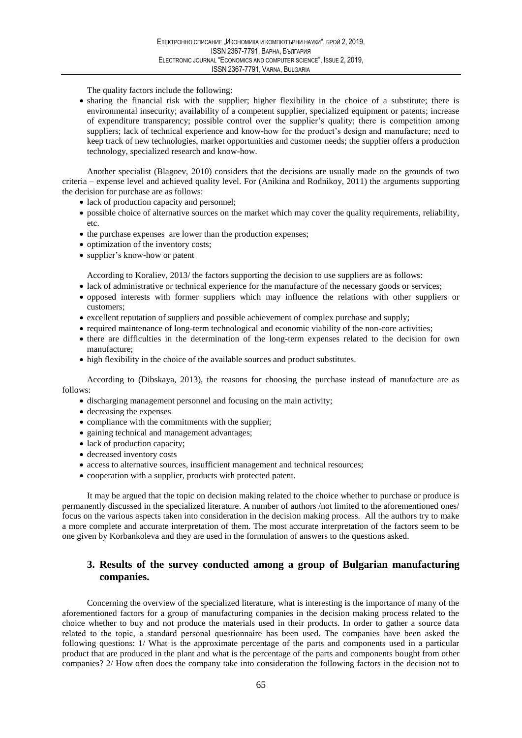The quality factors include the following:

 sharing the financial risk with the supplier; higher flexibility in the choice of a substitute; there is environmental insecurity; availability of a competent supplier, specialized equipment or patents; increase of expenditure transparency; possible control over the supplier's quality; there is competition among suppliers; lack of technical experience and know-how for the product's design and manufacture; need to keep track of new technologies, market opportunities and customer needs; the supplier offers a production technology, specialized research and know-how.

Another specialist (Blagoev, 2010) considers that the decisions are usually made on the grounds of two criteria – expense level and achieved quality level. For (Anikina and Rodnikoy, 2011) the arguments supporting the decision for purchase are as follows:

- lack of production capacity and personnel;
- possible choice of alternative sources on the market which may cover the quality requirements, reliability, etc.
- the purchase expenses are lower than the production expenses;
- optimization of the inventory costs;
- supplier's know-how or patent

According to Koraliev, 2013/ the factors supporting the decision to use suppliers are as follows:

- lack of administrative or technical experience for the manufacture of the necessary goods or services;
- opposed interests with former suppliers which may influence the relations with other suppliers or customers;
- excellent reputation of suppliers and possible achievement of complex purchase and supply;
- required maintenance of long-term technological and economic viability of the non-core activities;
- there are difficulties in the determination of the long-term expenses related to the decision for own manufacture;
- high flexibility in the choice of the available sources and product substitutes.

According to (Dibskaya, 2013), the reasons for choosing the purchase instead of manufacture are as follows:

- discharging management personnel and focusing on the main activity;
- decreasing the expenses
- compliance with the commitments with the supplier;
- gaining technical and management advantages;
- lack of production capacity;
- decreased inventory costs
- access to alternative sources, insufficient management and technical resources;
- cooperation with a supplier, products with protected patent.

It may be argued that the topic on decision making related to the choice whether to purchase or produce is permanently discussed in the specialized literature. A number of authors /not limited to the aforementioned ones/ focus on the various aspects taken into consideration in the decision making process. All the authors try to make a more complete and accurate interpretation of them. The most accurate interpretation of the factors seem to be one given by Korbankoleva and they are used in the formulation of answers to the questions asked.

## **3. Results of the survey conducted among a group of Bulgarian manufacturing companies.**

Concerning the overview of the specialized literature, what is interesting is the importance of many of the aforementioned factors for a group of manufacturing companies in the decision making process related to the choice whether to buy and not produce the materials used in their products. In order to gather a source data related to the topic, а standard personal questionnaire has been used. The companies have been asked the following questions: 1/ What is the approximate percentage of the parts and components used in a particular product that are produced in the plant and what is the percentage of the parts and components bought from other companies? 2/ How often does the company take into consideration the following factors in the decision not to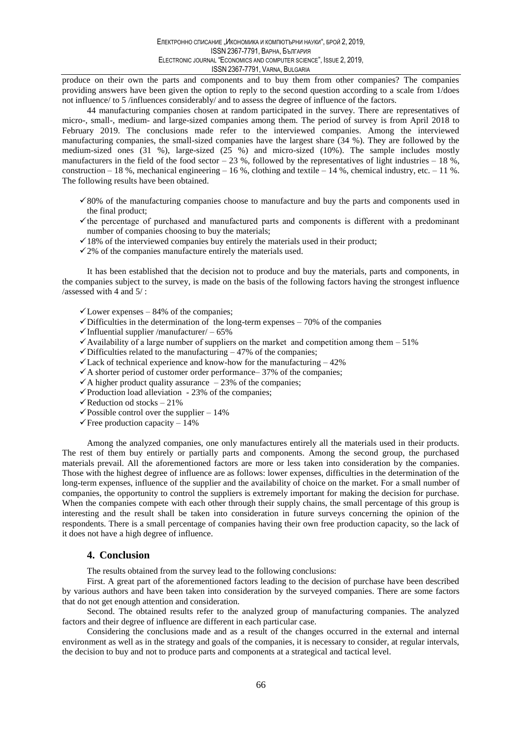produce on their own the parts and components and to buy them from other companies? The companies providing answers have been given the option to reply to the second question according to a scale from 1/does not influence/ to 5 /influences considerably/ and to assess the degree of influence of the factors.

44 manufacturing companies chosen at random participated in the survey. There are representatives of micro-, small-, medium- and large-sized companies among them. The period of survey is from April 2018 to February 2019. The conclusions made refer to the interviewed companies. Among the interviewed manufacturing companies, the small-sized companies have the largest share (34 %). They are followed by the medium-sized ones (31 %), large-sized (25 %) and micro-sized (10%). The sample includes mostly manufacturers in the field of the food sector – 23 %, followed by the representatives of light industries – 18 %, construction – 18 %, mechanical engineering – 16 %, clothing and textile – 14 %, chemical industry, etc. – 11 %. The following results have been obtained.

- $\checkmark$  80% of the manufacturing companies choose to manufacture and buy the parts and components used in the final product;
- $\checkmark$  the percentage of purchased and manufactured parts and components is different with a predominant number of companies choosing to buy the materials;
- $\checkmark$  18% of the interviewed companies buy entirely the materials used in their product;
- $\checkmark$  2% of the companies manufacture entirely the materials used.

It has been established that the decision not to produce and buy the materials, parts and components, in the companies subject to the survey, is made on the basis of the following factors having the strongest influence /assessed with 4 and 5/ :

 $\checkmark$  Lower expenses – 84% of the companies;

- $\checkmark$  Difficulties in the determination of the long-term expenses 70% of the companies
- $\checkmark$ Influential supplier /manufacturer/ 65%
- $\checkmark$  Availability of a large number of suppliers on the market and competition among them 51%
- $\checkmark$  Difficulties related to the manufacturing  $-47\%$  of the companies;
- $\checkmark$  Lack of technical experience and know-how for the manufacturing  $-42\%$
- $\checkmark$  A shorter period of customer order performance– 37% of the companies;
- $\checkmark$  A higher product quality assurance  $-23\%$  of the companies;
- $\checkmark$  Production load alleviation 23% of the companies;
- $\checkmark$  Reduction od stocks 21%
- $\checkmark$  Possible control over the supplier 14%
- $\checkmark$  Free production capacity 14%

Among the analyzed companies, one only manufactures entirely all the materials used in their products. The rest of them buy entirely or partially parts and components. Among the second group, the purchased materials prevail. All the aforementioned factors are more or less taken into consideration by the companies. Those with the highest degree of influence are as follows: lower expenses, difficulties in the determination of the long-term expenses, influence of the supplier and the availability of choice on the market. For a small number of companies, the opportunity to control the suppliers is extremely important for making the decision for purchase. When the companies compete with each other through their supply chains, the small percentage of this group is interesting and the result shall be taken into consideration in future surveys concerning the opinion of the respondents. There is a small percentage of companies having their own free production capacity, so the lack of it does not have a high degree of influence.

#### **4. Conclusion**

The results obtained from the survey lead to the following conclusions:

First. A great part of the aforementioned factors leading to the decision of purchase have been described by various authors and have been taken into consideration by the surveyed companies. There are some factors that do not get enough attention and consideration.

Second. The obtained results refer to the analyzed group of manufacturing companies. The analyzed factors and their degree of influence are different in each particular case.

Considering the conclusions made and as a result of the changes occurred in the external and internal environment as well as in the strategy and goals of the companies, it is necessary to consider, at regular intervals, the decision to buy and not to produce parts and components at a strategical and tactical level.